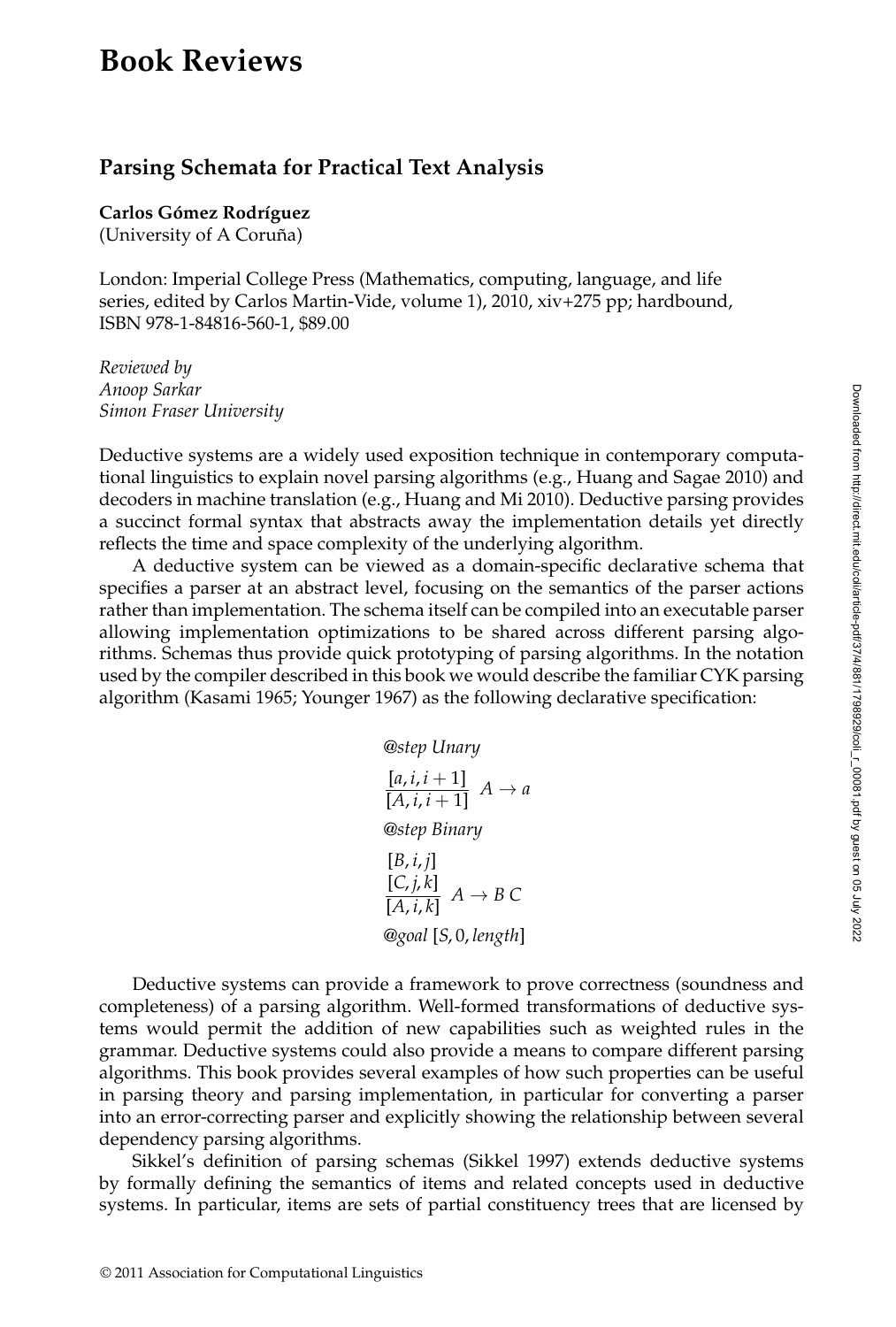## **Book Reviews**

## **Parsing Schemata for Practical Text Analysis**

**Carlos Gómez Rodríguez** 

(University of A Coruña)

London: Imperial College Press (Mathematics, computing, language, and life series, edited by Carlos Martin-Vide, volume 1), 2010, xiv+275 pp; hardbound, ISBN 978-1-84816-560-1, \$89.00

*Reviewed by Anoop Sarkar Simon Fraser University*

Deductive systems are a widely used exposition technique in contemporary computational linguistics to explain novel parsing algorithms (e.g., Huang and Sagae 2010) and decoders in machine translation (e.g., Huang and Mi 2010). Deductive parsing provides a succinct formal syntax that abstracts away the implementation details yet directly reflects the time and space complexity of the underlying algorithm.

A deductive system can be viewed as a domain-specific declarative schema that specifies a parser at an abstract level, focusing on the semantics of the parser actions rather than implementation. The schema itself can be compiled into an executable parser allowing implementation optimizations to be shared across different parsing algorithms. Schemas thus provide quick prototyping of parsing algorithms. In the notation used by the compiler described in this book we would describe the familiar CYK parsing algorithm (Kasami 1965; Younger 1967) as the following declarative specification:

$$
\text{@step Unary} \\
[\underline{a, i, i+1}] \quad A \to a \\
[\underline{A, i, i+1}] \quad A \to a \\
[\underline{B, i, j}] \quad [\underline{C, j, k}] \quad [\underline{C, j, k}] \quad A \to B \, C \\
[\underline{B, i, j]} \quad [\underline{S, j, k}] \quad A \to B \, C
$$
\n
$$
\text{9goal [S, 0, length]}
$$

Deductive systems can provide a framework to prove correctness (soundness and completeness) of a parsing algorithm. Well-formed transformations of deductive systems would permit the addition of new capabilities such as weighted rules in the grammar. Deductive systems could also provide a means to compare different parsing algorithms. This book provides several examples of how such properties can be useful in parsing theory and parsing implementation, in particular for converting a parser into an error-correcting parser and explicitly showing the relationship between several dependency parsing algorithms.

Sikkel's definition of parsing schemas (Sikkel 1997) extends deductive systems by formally defining the semantics of items and related concepts used in deductive systems. In particular, items are sets of partial constituency trees that are licensed by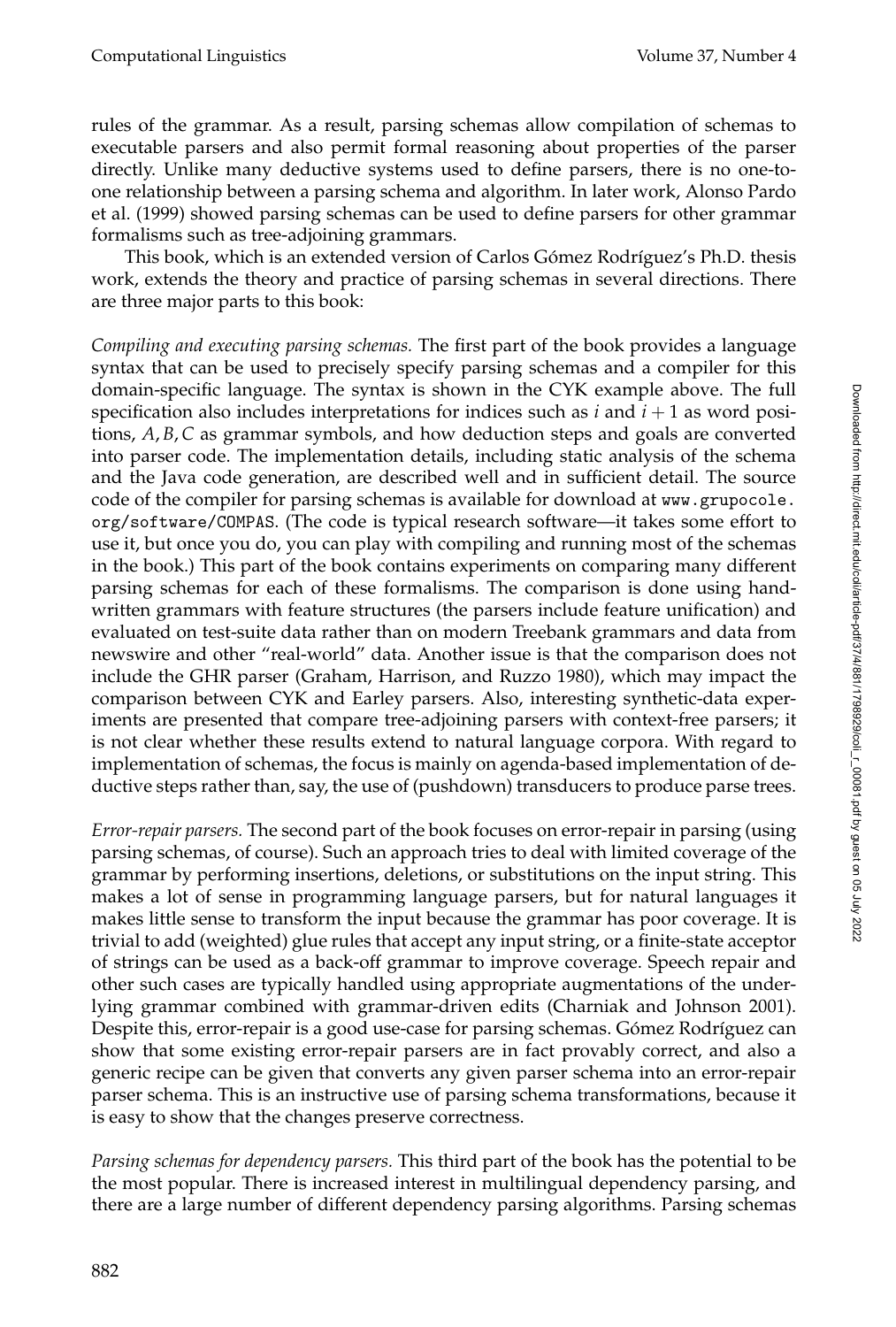rules of the grammar. As a result, parsing schemas allow compilation of schemas to executable parsers and also permit formal reasoning about properties of the parser directly. Unlike many deductive systems used to define parsers, there is no one-toone relationship between a parsing schema and algorithm. In later work, Alonso Pardo et al. (1999) showed parsing schemas can be used to define parsers for other grammar formalisms such as tree-adjoining grammars.

This book, which is an extended version of Carlos Gómez Rodríguez's Ph.D. thesis work, extends the theory and practice of parsing schemas in several directions. There are three major parts to this book:

*Compiling and executing parsing schemas.* The first part of the book provides a language syntax that can be used to precisely specify parsing schemas and a compiler for this domain-specific language. The syntax is shown in the CYK example above. The full specification also includes interpretations for indices such as  $i$  and  $i + 1$  as word positions, *A*, *B*,*C* as grammar symbols, and how deduction steps and goals are converted into parser code. The implementation details, including static analysis of the schema and the Java code generation, are described well and in sufficient detail. The source code of the compiler for parsing schemas is available for download at www.grupocole. org/software/COMPAS. (The code is typical research software—it takes some effort to use it, but once you do, you can play with compiling and running most of the schemas in the book.) This part of the book contains experiments on comparing many different parsing schemas for each of these formalisms. The comparison is done using handwritten grammars with feature structures (the parsers include feature unification) and evaluated on test-suite data rather than on modern Treebank grammars and data from newswire and other "real-world" data. Another issue is that the comparison does not include the GHR parser (Graham, Harrison, and Ruzzo 1980), which may impact the comparison between CYK and Earley parsers. Also, interesting synthetic-data experiments are presented that compare tree-adjoining parsers with context-free parsers; it is not clear whether these results extend to natural language corpora. With regard to implementation of schemas, the focus is mainly on agenda-based implementation of deductive steps rather than, say, the use of (pushdown) transducers to produce parse trees.

*Error-repair parsers.* The second part of the book focuses on error-repair in parsing (using parsing schemas, of course). Such an approach tries to deal with limited coverage of the grammar by performing insertions, deletions, or substitutions on the input string. This makes a lot of sense in programming language parsers, but for natural languages it makes little sense to transform the input because the grammar has poor coverage. It is trivial to add (weighted) glue rules that accept any input string, or a finite-state acceptor of strings can be used as a back-off grammar to improve coverage. Speech repair and other such cases are typically handled using appropriate augmentations of the underlying grammar combined with grammar-driven edits (Charniak and Johnson 2001). Despite this, error-repair is a good use-case for parsing schemas. Gómez Rodríguez can show that some existing error-repair parsers are in fact provably correct, and also a generic recipe can be given that converts any given parser schema into an error-repair parser schema. This is an instructive use of parsing schema transformations, because it is easy to show that the changes preserve correctness.

*Parsing schemas for dependency parsers.* This third part of the book has the potential to be the most popular. There is increased interest in multilingual dependency parsing, and there are a large number of different dependency parsing algorithms. Parsing schemas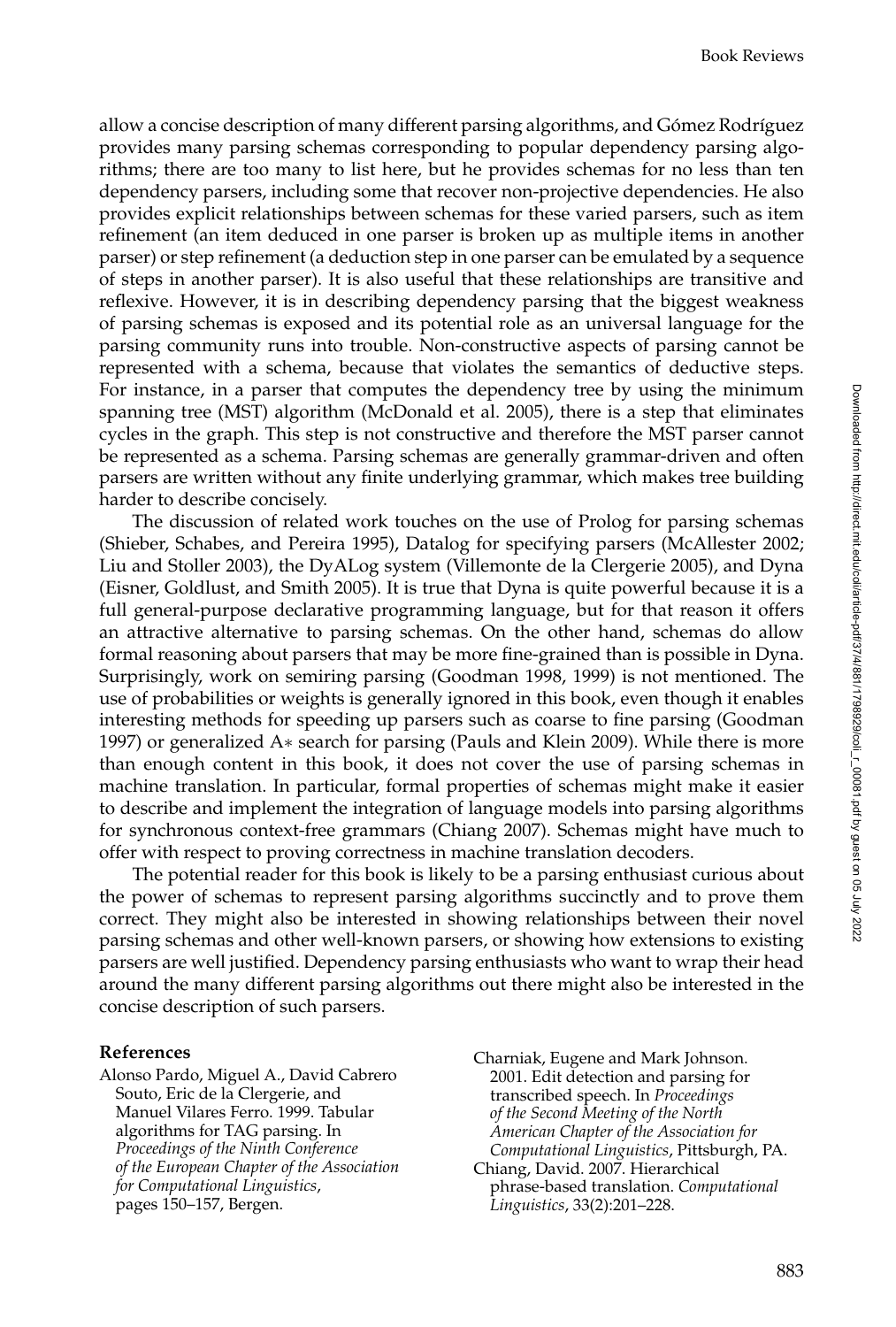allow a concise description of many different parsing algorithms, and Gómez Rodríguez provides many parsing schemas corresponding to popular dependency parsing algorithms; there are too many to list here, but he provides schemas for no less than ten dependency parsers, including some that recover non-projective dependencies. He also provides explicit relationships between schemas for these varied parsers, such as item refinement (an item deduced in one parser is broken up as multiple items in another parser) or step refinement (a deduction step in one parser can be emulated by a sequence of steps in another parser). It is also useful that these relationships are transitive and reflexive. However, it is in describing dependency parsing that the biggest weakness of parsing schemas is exposed and its potential role as an universal language for the parsing community runs into trouble. Non-constructive aspects of parsing cannot be represented with a schema, because that violates the semantics of deductive steps. For instance, in a parser that computes the dependency tree by using the minimum spanning tree (MST) algorithm (McDonald et al. 2005), there is a step that eliminates cycles in the graph. This step is not constructive and therefore the MST parser cannot be represented as a schema. Parsing schemas are generally grammar-driven and often parsers are written without any finite underlying grammar, which makes tree building harder to describe concisely.

The discussion of related work touches on the use of Prolog for parsing schemas (Shieber, Schabes, and Pereira 1995), Datalog for specifying parsers (McAllester 2002; Liu and Stoller 2003), the DyALog system (Villemonte de la Clergerie 2005), and Dyna (Eisner, Goldlust, and Smith 2005). It is true that Dyna is quite powerful because it is a full general-purpose declarative programming language, but for that reason it offers an attractive alternative to parsing schemas. On the other hand, schemas do allow formal reasoning about parsers that may be more fine-grained than is possible in Dyna. Surprisingly, work on semiring parsing (Goodman 1998, 1999) is not mentioned. The use of probabilities or weights is generally ignored in this book, even though it enables interesting methods for speeding up parsers such as coarse to fine parsing (Goodman 1997) or generalized A∗ search for parsing (Pauls and Klein 2009). While there is more than enough content in this book, it does not cover the use of parsing schemas in machine translation. In particular, formal properties of schemas might make it easier to describe and implement the integration of language models into parsing algorithms for synchronous context-free grammars (Chiang 2007). Schemas might have much to offer with respect to proving correctness in machine translation decoders.

The potential reader for this book is likely to be a parsing enthusiast curious about the power of schemas to represent parsing algorithms succinctly and to prove them correct. They might also be interested in showing relationships between their novel parsing schemas and other well-known parsers, or showing how extensions to existing parsers are well justified. Dependency parsing enthusiasts who want to wrap their head around the many different parsing algorithms out there might also be interested in the concise description of such parsers.

## **References**

Alonso Pardo, Miguel A., David Cabrero Souto, Eric de la Clergerie, and Manuel Vilares Ferro. 1999. Tabular algorithms for TAG parsing. In *Proceedings of the Ninth Conference of the European Chapter of the Association for Computational Linguistics*, pages 150–157, Bergen.

Charniak, Eugene and Mark Johnson. 2001. Edit detection and parsing for transcribed speech. In *Proceedings of the Second Meeting of the North American Chapter of the Association for Computational Linguistics*, Pittsburgh, PA. Chiang, David. 2007. Hierarchical phrase-based translation. *Computational Linguistics*, 33(2):201–228.